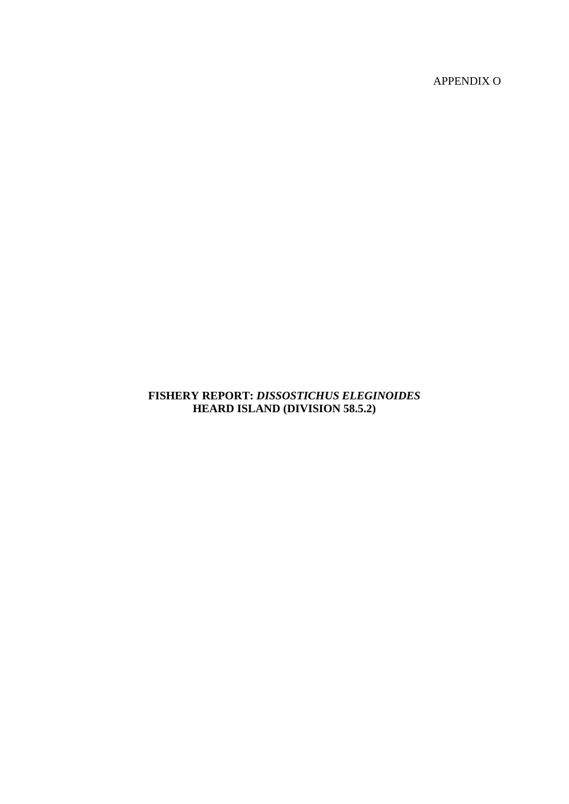APPENDIX O

# **FISHERY REPORT:** *DISSOSTICHUS ELEGINOIDES* **HEARD ISLAND (DIVISION 58.5.2)**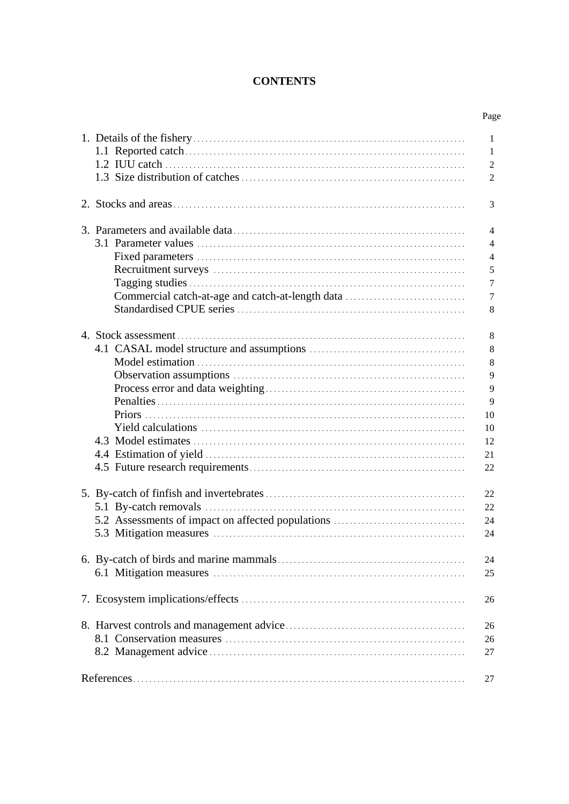# **CONTENTS**

|                                                   | Page                                                     |
|---------------------------------------------------|----------------------------------------------------------|
|                                                   | 1<br>1<br>2<br>$\overline{2}$                            |
|                                                   | 3                                                        |
| Commercial catch-at-age and catch-at-length data  | 4<br>4<br>4<br>5<br>$\tau$<br>7<br>8                     |
|                                                   | 8<br>8<br>8<br>9<br>9<br>9<br>10<br>10<br>12<br>21<br>22 |
| 5.2 Assessments of impact on affected populations | 22<br>22<br>24<br>24                                     |
|                                                   | 24<br>25                                                 |
|                                                   | 26                                                       |
|                                                   | 26<br>26<br>27                                           |
|                                                   | 27                                                       |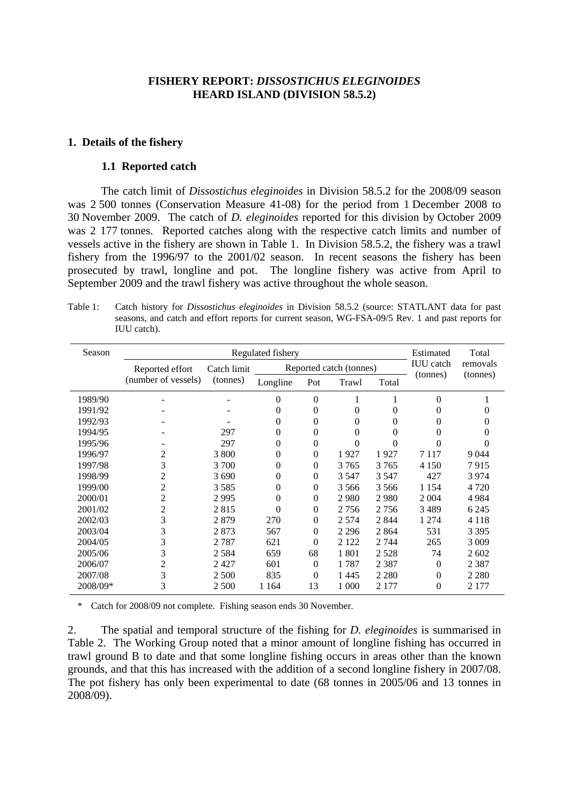### **FISHERY REPORT:** *DISSOSTICHUS ELEGINOIDES* **HEARD ISLAND (DIVISION 58.5.2)**

#### <span id="page-2-0"></span>**1. Details of the fishery**

#### **1.1 Reported catch**

The catch limit of *Dissostichus eleginoides* in Division 58.5.2 for the 2008/09 season was 2 500 tonnes (Conservation Measure 41-08) for the period from 1 December 2008 to 30 November 2009. The catch of *D. eleginoides* reported for this division by October 2009 was 2 177 tonnes. Reported catches along with the respective catch limits and number of vessels active in the fishery are shown in Table 1. In Division 58.5.2, the fishery was a trawl fishery from the 1996/97 to the 2001/02 season. In recent seasons the fishery has been prosecuted by trawl, longline and pot. The longline fishery was active from April to September 2009 and the trawl fishery was active throughout the whole season.

Table 1: Catch history for *Dissostichus eleginoides* in Division 58.5.2 (source: STATLANT data for past seasons, and catch and effort reports for current season, WG-FSA-09/5 Rev. 1 and past reports for IUU catch).

| Season   |                     |             | Regulated fishery |          |                         |         | Estimated        | Total    |
|----------|---------------------|-------------|-------------------|----------|-------------------------|---------|------------------|----------|
|          | Reported effort     | Catch limit |                   |          | Reported catch (tonnes) |         | <b>IUU</b> catch | removals |
|          | (number of vessels) | (tonnes)    | Longline          | Pot      | Trawl                   | Total   | (tonnes)         | (tonnes) |
| 1989/90  |                     |             | 0                 | $\theta$ |                         |         | $\theta$         |          |
| 1991/92  |                     |             | 0                 | $\theta$ | 0                       | 0       | $\theta$         |          |
| 1992/93  |                     |             | 0                 | $\theta$ | 0                       | 0       | 0                |          |
| 1994/95  |                     | 297         | 0                 | $\theta$ | 0                       | 0       | 0                |          |
| 1995/96  |                     | 297         | 0                 | $\Omega$ | 0                       | 0       | 0                | $\Omega$ |
| 1996/97  | 2                   | 3 800       | 0                 | $\theta$ | 1927                    | 1927    | 7 1 1 7          | 9 0 4 4  |
| 1997/98  | 3                   | 3 700       | 0                 | $\theta$ | 3765                    | 3765    | 4 1 5 0          | 7915     |
| 1998/99  | 2                   | 3690        | 0                 | $\theta$ | 3 5 4 7                 | 3 5 4 7 | 427              | 3974     |
| 1999/00  | $\overline{c}$      | 3585        | 0                 | $\Omega$ | 3 5 6 6                 | 3 5 6 6 | 1 1 5 4          | 4 7 2 0  |
| 2000/01  | $\overline{c}$      | 2995        | $\theta$          | $\theta$ | 2980                    | 2980    | 2 0 0 4          | 4 9 8 4  |
| 2001/02  | 2                   | 2815        | $\Omega$          | $\theta$ | 2756                    | 2756    | 3489             | 6 2 4 5  |
| 2002/03  | 3                   | 2879        | 270               | $\theta$ | 2 5 7 4                 | 2844    | 1 2 7 4          | 4 1 1 8  |
| 2003/04  | 3                   | 2873        | 567               | $\theta$ | 2 2 9 6                 | 2864    | 531              | 3 3 9 5  |
| 2004/05  | 3                   | 2787        | 621               | $\theta$ | 2 1 2 2                 | 2 7 4 4 | 265              | 3 0 0 9  |
| 2005/06  | 3                   | 2584        | 659               | 68       | 1801                    | 2528    | 74               | 2602     |
| 2006/07  | 2                   | 2427        | 601               | $\theta$ | 1787                    | 2 3 8 7 | $\theta$         | 2 3 8 7  |
| 2007/08  | 3                   | 2 500       | 835               | $\theta$ | 1445                    | 2 2 8 0 | $\Omega$         | 2 2 8 0  |
| 2008/09* | 3                   | 2 500       | 1 1 6 4           | 13       | 1 000                   | 2 177   | $\theta$         | 2 177    |

\* Catch for 2008/09 not complete. Fishing season ends 30 November.

2. The spatial and temporal structure of the fishing for *D. eleginoides* is summarised in Table 2. The Working Group noted that a minor amount of longline fishing has occurred in trawl ground B to date and that some longline fishing occurs in areas other than the known grounds, and that this has increased with the addition of a second longline fishery in 2007/08. The pot fishery has only been experimental to date (68 tonnes in 2005/06 and 13 tonnes in 2008/09).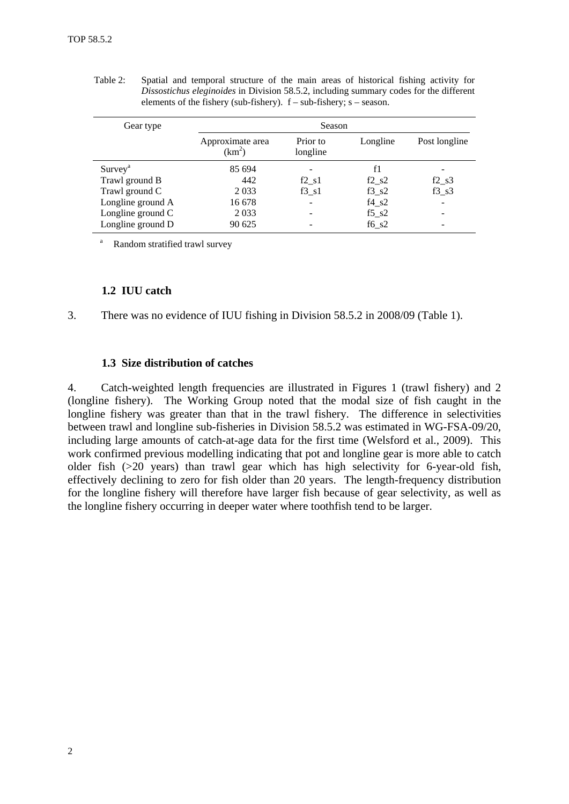<span id="page-3-0"></span>Table 2: Spatial and temporal structure of the main areas of historical fishing activity for *Dissostichus eleginoides* in Division 58.5.2, including summary codes for the different elements of the fishery (sub-fishery).  $f - sub-fishery$ ; s – season.

| Gear type         |                                        | Season               |                                  |                                  |
|-------------------|----------------------------------------|----------------------|----------------------------------|----------------------------------|
|                   | Approximate area<br>(km <sup>2</sup> ) | Prior to<br>longline | Longline                         | Post longline                    |
| $Survey^a$        | 85 694                                 |                      | f1                               |                                  |
| Trawl ground B    | 442                                    | $f2 \text{ } s1$     | $f2_s2$                          | $f2$ <sub>_<math>s3</math></sub> |
| Trawl ground C    | 2 0 3 3                                | $f3 \ s1$            | $f3_82$                          | $f3 \ s3$                        |
| Longline ground A | 16 678                                 | ۰                    | $f4_S2$                          | $\overline{\phantom{a}}$         |
| Longline ground C | 2 0 3 3                                |                      | $f5$ <sub>_<math>s2</math></sub> |                                  |
| Longline ground D | 90 625                                 |                      | $f6$ <sub>_<math>s2</math></sub> |                                  |

Random stratified trawl survey

# **1.2 IUU catch**

3. There was no evidence of IUU fishing in Division 58.5.2 in 2008/09 (Table 1).

#### **1.3 Size distribution of catches**

4. Catch-weighted length frequencies are illustrated in Figures 1 (trawl fishery) and 2 (longline fishery). The Working Group noted that the modal size of fish caught in the longline fishery was greater than that in the trawl fishery. The difference in selectivities between trawl and longline sub-fisheries in Division 58.5.2 was estimated in WG-FSA-09/20, including large amounts of catch-at-age data for the first time (Welsford et al., 2009). This work confirmed previous modelling indicating that pot and longline gear is more able to catch older fish (>20 years) than trawl gear which has high selectivity for 6-year-old fish, effectively declining to zero for fish older than 20 years. The length-frequency distribution for the longline fishery will therefore have larger fish because of gear selectivity, as well as the longline fishery occurring in deeper water where toothfish tend to be larger.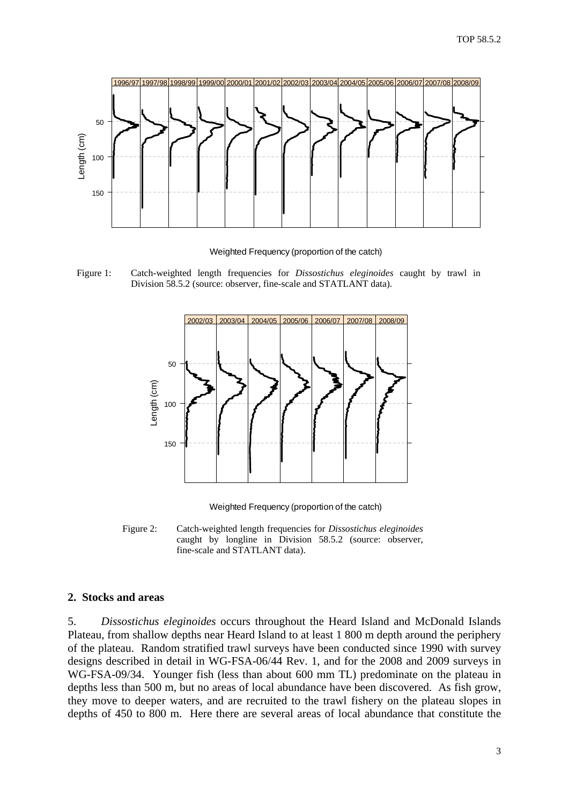<span id="page-4-0"></span>

Weighted Frequency (proportion of the catch)

Figure 1: Catch-weighted length frequencies for *Dissostichus eleginoides* caught by trawl in Division 58.5.2 (source: observer, fine-scale and STATLANT data).



Weighted Frequency (proportion of the catch)

Figure 2: Catch-weighted length frequencies for *Dissostichus eleginoides* caught by longline in Division 58.5.2 (source: observer, fine-scale and STATLANT data).

#### **2. Stocks and areas**

5. *Dissostichus eleginoides* occurs throughout the Heard Island and McDonald Islands Plateau, from shallow depths near Heard Island to at least 1 800 m depth around the periphery of the plateau. Random stratified trawl surveys have been conducted since 1990 with survey designs described in detail in WG-FSA-06/44 Rev. 1, and for the 2008 and 2009 surveys in WG-FSA-09/34. Younger fish (less than about 600 mm TL) predominate on the plateau in depths less than 500 m, but no areas of local abundance have been discovered. As fish grow, they move to deeper waters, and are recruited to the trawl fishery on the plateau slopes in depths of 450 to 800 m. Here there are several areas of local abundance that constitute the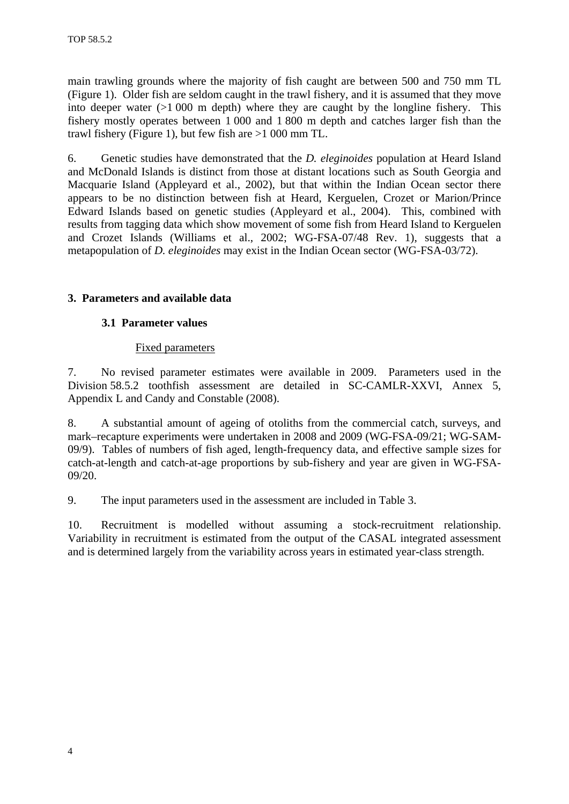<span id="page-5-0"></span>main trawling grounds where the majority of fish caught are between 500 and 750 mm TL (Figure 1). Older fish are seldom caught in the trawl fishery, and it is assumed that they move into deeper water  $(>1000 \text{ m}$  depth) where they are caught by the longline fishery. This fishery mostly operates between 1 000 and 1 800 m depth and catches larger fish than the trawl fishery (Figure 1), but few fish are >1 000 mm TL.

6. Genetic studies have demonstrated that the *D. eleginoides* population at Heard Island and McDonald Islands is distinct from those at distant locations such as South Georgia and Macquarie Island (Appleyard et al., 2002), but that within the Indian Ocean sector there appears to be no distinction between fish at Heard, Kerguelen, Crozet or Marion/Prince Edward Islands based on genetic studies (Appleyard et al., 2004). This, combined with results from tagging data which show movement of some fish from Heard Island to Kerguelen and Crozet Islands (Williams et al., 2002; WG-FSA-07/48 Rev. 1), suggests that a metapopulation of *D. eleginoides* may exist in the Indian Ocean sector (WG-FSA-03/72).

# **3. Parameters and available data**

### **3.1 Parameter values**

### Fixed parameters

7. No revised parameter estimates were available in 2009. Parameters used in the Division 58.5.2 toothfish assessment are detailed in SC-CAMLR-XXVI, Annex 5, Appendix L and Candy and Constable (2008).

8. A substantial amount of ageing of otoliths from the commercial catch, surveys, and mark–recapture experiments were undertaken in 2008 and 2009 (WG-FSA-09/21; WG-SAM-09/9). Tables of numbers of fish aged, length-frequency data, and effective sample sizes for catch-at-length and catch-at-age proportions by sub-fishery and year are given in WG-FSA-09/20.

9. The input parameters used in the assessment are included in Table 3.

10. Recruitment is modelled without assuming a stock-recruitment relationship. Variability in recruitment is estimated from the output of the CASAL integrated assessment and is determined largely from the variability across years in estimated year-class strength.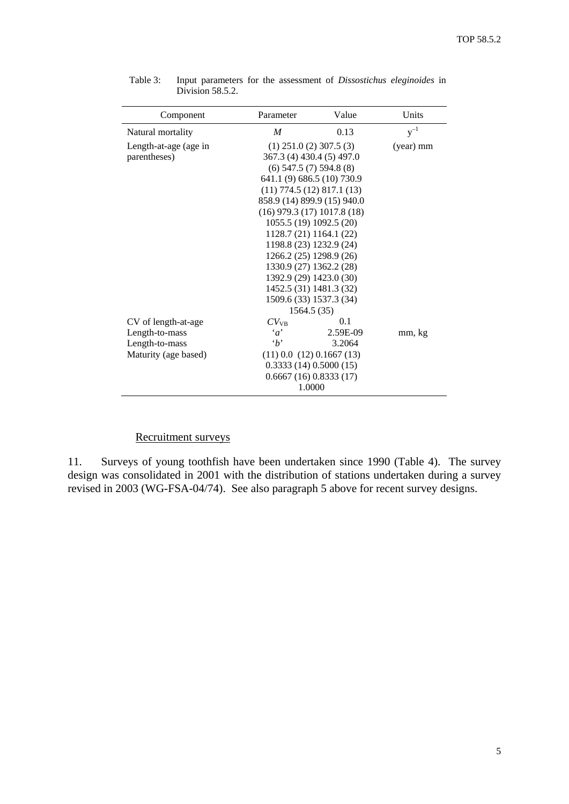| Component             | Parameter                         | Value                   | Units     |
|-----------------------|-----------------------------------|-------------------------|-----------|
| Natural mortality     | M                                 | 0.13                    | $y^{-1}$  |
| Length-at-age (age in | $(1)$ 251.0 $(2)$ 307.5 $(3)$     |                         | (year) mm |
| parentheses)          | 367.3 (4) 430.4 (5) 497.0         |                         |           |
|                       | $(6)$ 547.5 $(7)$ 594.8 $(8)$     |                         |           |
|                       | 641.1 (9) 686.5 (10) 730.9        |                         |           |
|                       | $(11)$ 774.5 $(12)$ 817.1 $(13)$  |                         |           |
|                       | 858.9 (14) 899.9 (15) 940.0       |                         |           |
|                       | $(16)$ 979.3 $(17)$ 1017.8 $(18)$ |                         |           |
|                       | 1055.5 (19) 1092.5 (20)           |                         |           |
|                       | 1128.7 (21) 1164.1 (22)           |                         |           |
|                       |                                   | 1198.8 (23) 1232.9 (24) |           |
|                       |                                   | 1266.2 (25) 1298.9 (26) |           |
|                       | 1330.9 (27) 1362.2 (28)           |                         |           |
|                       | 1392.9 (29) 1423.0 (30)           |                         |           |
|                       |                                   | 1452.5 (31) 1481.3 (32) |           |
|                       | 1509.6 (33) 1537.3 (34)           |                         |           |
|                       | 1564.5 (35)                       |                         |           |
| CV of length-at-age   | $CV_{VB}$                         | 0.1                     |           |
| Length-to-mass        | $\alpha$                          | 2.59E-09                | mm, kg    |
| Length-to-mass        | $\cdot h$                         | 3.2064                  |           |
| Maturity (age based)  | $(11)$ 0.0 $(12)$ 0.1667 $(13)$   |                         |           |
|                       | 0.3333(14)0.5000(15)              |                         |           |
|                       | 0.6667(16)0.8333(17)              |                         |           |
|                       | 1.0000                            |                         |           |

<span id="page-6-0"></span>Table 3: Input parameters for the assessment of *Dissostichus eleginoides* in Division 58.5.2.

#### Recruitment surveys

11. Surveys of young toothfish have been undertaken since 1990 (Table 4). The survey design was consolidated in 2001 with the distribution of stations undertaken during a survey revised in 2003 (WG-FSA-04/74). See also paragraph 5 above for recent survey designs.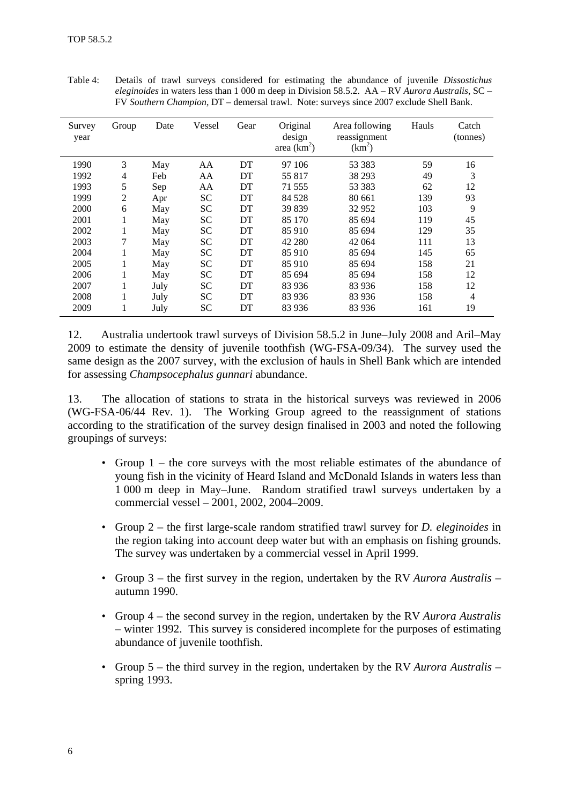| Survey<br>year | Group | Date | Vessel | Gear | Original<br>design<br>area $(km^2)$ | Area following<br>reassignment<br>$(km^2)$ | Hauls | Catch<br>(tonnes) |
|----------------|-------|------|--------|------|-------------------------------------|--------------------------------------------|-------|-------------------|
| 1990           | 3     | May  | AA     | DT   | 97 106                              | 53 383                                     | 59    | 16                |
| 1992           | 4     | Feb  | AA     | DT   | 55 817                              | 38 29 3                                    | 49    | 3                 |
| 1993           | 5     | Sep  | AA     | DT   | 71 555                              | 53 383                                     | 62    | 12                |
| 1999           | 2     | Apr  | SС     | DT   | 84 5 28                             | 80 661                                     | 139   | 93                |
| 2000           | 6     | May  | SС     | DT   | 39 839                              | 32952                                      | 103   | 9                 |
| 2001           | 1     | May  | SС     | DT   | 85 170                              | 85 694                                     | 119   | 45                |
| 2002           | 1     | May  | SС     | DT   | 85 910                              | 85 694                                     | 129   | 35                |
| 2003           | 7     | May  | SС     | DT   | 42 280                              | 42 064                                     | 111   | 13                |
| 2004           | 1     | May  | SС     | DT   | 85 910                              | 85 694                                     | 145   | 65                |
| 2005           | 1     | May  | SС     | DT   | 85 910                              | 85 694                                     | 158   | 21                |
| 2006           | 1     | May  | SС     | DT   | 85 694                              | 85 694                                     | 158   | 12                |
| 2007           | 1     | July | SС     | DT   | 83 936                              | 83 936                                     | 158   | 12                |
| 2008           | 1     | July | SС     | DT   | 83 936                              | 83 936                                     | 158   | $\overline{4}$    |
| 2009           | 1     | July | SС     | DT   | 83 936                              | 83 936                                     | 161   | 19                |

Table 4: Details of trawl surveys considered for estimating the abundance of juvenile *Dissostichus eleginoides* in waters less than 1 000 m deep in Division 58.5.2. AA – RV *Aurora Australis*, SC – FV *Southern Champion*, DT – demersal trawl. Note: surveys since 2007 exclude Shell Bank.

12. Australia undertook trawl surveys of Division 58.5.2 in June–July 2008 and Aril–May 2009 to estimate the density of juvenile toothfish (WG-FSA-09/34). The survey used the same design as the 2007 survey, with the exclusion of hauls in Shell Bank which are intended for assessing *Champsocephalus gunnari* abundance.

13. The allocation of stations to strata in the historical surveys was reviewed in 2006 (WG-FSA-06/44 Rev. 1). The Working Group agreed to the reassignment of stations according to the stratification of the survey design finalised in 2003 and noted the following groupings of surveys:

- Group 1 the core surveys with the most reliable estimates of the abundance of young fish in the vicinity of Heard Island and McDonald Islands in waters less than 1 000 m deep in May–June. Random stratified trawl surveys undertaken by a commercial vessel – 2001, 2002, 2004–2009.
- Group 2 the first large-scale random stratified trawl survey for *D. eleginoides* in the region taking into account deep water but with an emphasis on fishing grounds. The survey was undertaken by a commercial vessel in April 1999.
- Group 3 the first survey in the region, undertaken by the RV *Aurora Australis* autumn 1990.
- Group 4 the second survey in the region, undertaken by the RV *Aurora Australis* – winter 1992. This survey is considered incomplete for the purposes of estimating abundance of juvenile toothfish.
- Group 5 the third survey in the region, undertaken by the RV *Aurora Australis* spring 1993.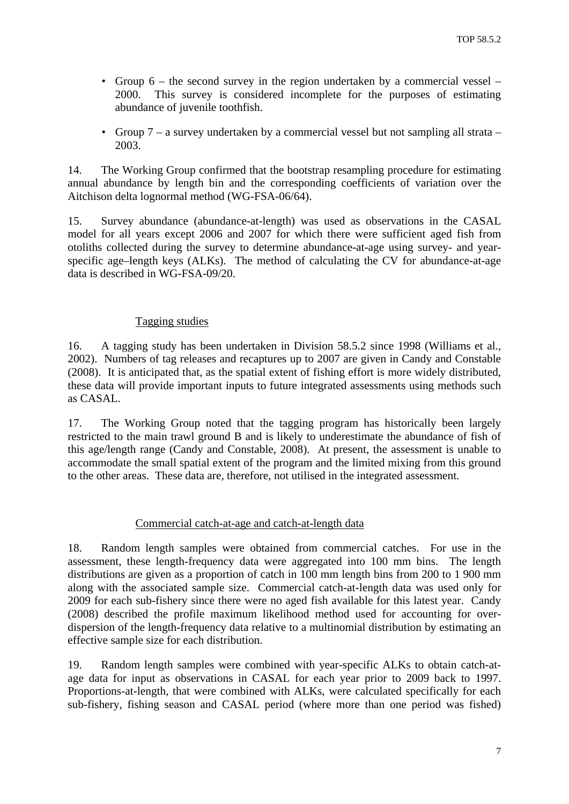- <span id="page-8-0"></span>• Group 6 – the second survey in the region undertaken by a commercial vessel – 2000. This survey is considered incomplete for the purposes of estimating abundance of juvenile toothfish.
- Group 7 a survey undertaken by a commercial vessel but not sampling all strata 2003.

14. The Working Group confirmed that the bootstrap resampling procedure for estimating annual abundance by length bin and the corresponding coefficients of variation over the Aitchison delta lognormal method (WG-FSA-06/64).

15. Survey abundance (abundance-at-length) was used as observations in the CASAL model for all years except 2006 and 2007 for which there were sufficient aged fish from otoliths collected during the survey to determine abundance-at-age using survey- and yearspecific age–length keys (ALKs). The method of calculating the CV for abundance-at-age data is described in WG-FSA-09/20.

# Tagging studies

16. A tagging study has been undertaken in Division 58.5.2 since 1998 (Williams et al., 2002). Numbers of tag releases and recaptures up to 2007 are given in Candy and Constable (2008). It is anticipated that, as the spatial extent of fishing effort is more widely distributed, these data will provide important inputs to future integrated assessments using methods such as CASAL.

17. The Working Group noted that the tagging program has historically been largely restricted to the main trawl ground B and is likely to underestimate the abundance of fish of this age/length range (Candy and Constable, 2008). At present, the assessment is unable to accommodate the small spatial extent of the program and the limited mixing from this ground to the other areas. These data are, therefore, not utilised in the integrated assessment.

### Commercial catch-at-age and catch-at-length data

18. Random length samples were obtained from commercial catches. For use in the assessment, these length-frequency data were aggregated into 100 mm bins. The length distributions are given as a proportion of catch in 100 mm length bins from 200 to 1 900 mm along with the associated sample size. Commercial catch-at-length data was used only for 2009 for each sub-fishery since there were no aged fish available for this latest year. Candy (2008) described the profile maximum likelihood method used for accounting for overdispersion of the length-frequency data relative to a multinomial distribution by estimating an effective sample size for each distribution.

19. Random length samples were combined with year-specific ALKs to obtain catch-atage data for input as observations in CASAL for each year prior to 2009 back to 1997. Proportions-at-length, that were combined with ALKs, were calculated specifically for each sub-fishery, fishing season and CASAL period (where more than one period was fished)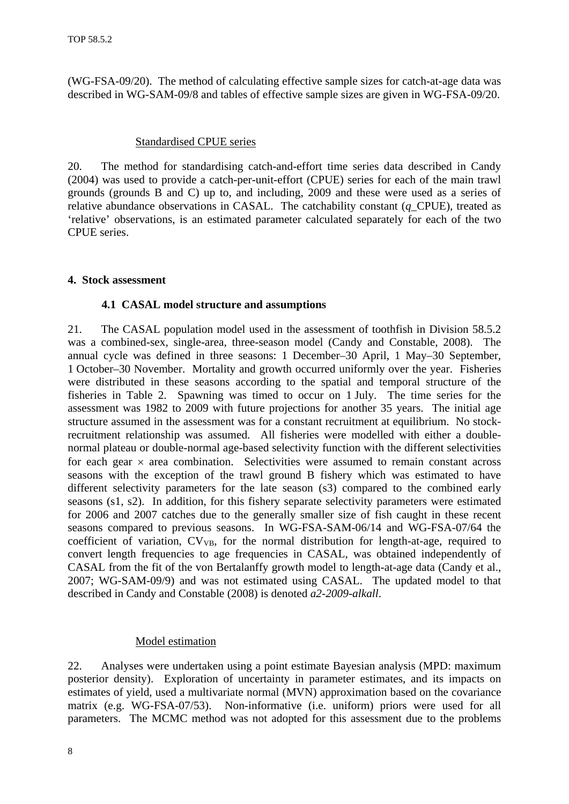<span id="page-9-0"></span>(WG-FSA-09/20). The method of calculating effective sample sizes for catch-at-age data was described in WG-SAM-09/8 and tables of effective sample sizes are given in WG-FSA-09/20.

#### Standardised CPUE series

20. The method for standardising catch-and-effort time series data described in Candy (2004) was used to provide a catch-per-unit-effort (CPUE) series for each of the main trawl grounds (grounds B and C) up to, and including, 2009 and these were used as a series of relative abundance observations in CASAL. The catchability constant (*q*\_CPUE), treated as 'relative' observations, is an estimated parameter calculated separately for each of the two CPUE series.

#### **4. Stock assessment**

#### **4.1 CASAL model structure and assumptions**

21. The CASAL population model used in the assessment of toothfish in Division 58.5.2 was a combined-sex, single-area, three-season model (Candy and Constable, 2008). The annual cycle was defined in three seasons: 1 December–30 April, 1 May–30 September, 1 October–30 November. Mortality and growth occurred uniformly over the year. Fisheries were distributed in these seasons according to the spatial and temporal structure of the fisheries in Table 2. Spawning was timed to occur on 1 July. The time series for the assessment was 1982 to 2009 with future projections for another 35 years. The initial age structure assumed in the assessment was for a constant recruitment at equilibrium. No stockrecruitment relationship was assumed. All fisheries were modelled with either a doublenormal plateau or double-normal age-based selectivity function with the different selectivities for each gear  $\times$  area combination. Selectivities were assumed to remain constant across seasons with the exception of the trawl ground B fishery which was estimated to have different selectivity parameters for the late season (s3) compared to the combined early seasons (s1, s2). In addition, for this fishery separate selectivity parameters were estimated for 2006 and 2007 catches due to the generally smaller size of fish caught in these recent seasons compared to previous seasons. In WG-FSA-SAM-06/14 and WG-FSA-07/64 the coefficient of variation,  $CV_{VB}$ , for the normal distribution for length-at-age, required to convert length frequencies to age frequencies in CASAL, was obtained independently of CASAL from the fit of the von Bertalanffy growth model to length-at-age data (Candy et al., 2007; WG-SAM-09/9) and was not estimated using CASAL. The updated model to that described in Candy and Constable (2008) is denoted *a2-2009-alkall*.

#### Model estimation

22. Analyses were undertaken using a point estimate Bayesian analysis (MPD: maximum posterior density). Exploration of uncertainty in parameter estimates, and its impacts on estimates of yield, used a multivariate normal (MVN) approximation based on the covariance matrix (e.g. WG-FSA-07/53). Non-informative (i.e. uniform) priors were used for all parameters. The MCMC method was not adopted for this assessment due to the problems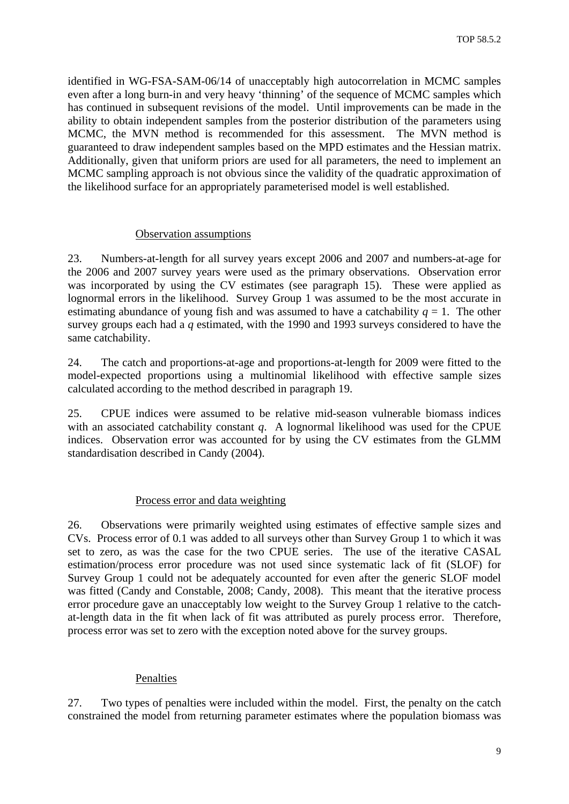<span id="page-10-0"></span>identified in WG-FSA-SAM-06/14 of unacceptably high autocorrelation in MCMC samples even after a long burn-in and very heavy 'thinning' of the sequence of MCMC samples which has continued in subsequent revisions of the model. Until improvements can be made in the ability to obtain independent samples from the posterior distribution of the parameters using MCMC, the MVN method is recommended for this assessment. The MVN method is guaranteed to draw independent samples based on the MPD estimates and the Hessian matrix. Additionally, given that uniform priors are used for all parameters, the need to implement an MCMC sampling approach is not obvious since the validity of the quadratic approximation of the likelihood surface for an appropriately parameterised model is well established.

### Observation assumptions

23. Numbers-at-length for all survey years except 2006 and 2007 and numbers-at-age for the 2006 and 2007 survey years were used as the primary observations. Observation error was incorporated by using the CV estimates (see paragraph 15). These were applied as lognormal errors in the likelihood. Survey Group 1 was assumed to be the most accurate in estimating abundance of young fish and was assumed to have a catchability  $q = 1$ . The other survey groups each had a *q* estimated, with the 1990 and 1993 surveys considered to have the same catchability.

24. The catch and proportions-at-age and proportions-at-length for 2009 were fitted to the model-expected proportions using a multinomial likelihood with effective sample sizes calculated according to the method described in paragraph 19.

25. CPUE indices were assumed to be relative mid-season vulnerable biomass indices with an associated catchability constant *q*. A lognormal likelihood was used for the CPUE indices. Observation error was accounted for by using the CV estimates from the GLMM standardisation described in Candy (2004).

### Process error and data weighting

26. Observations were primarily weighted using estimates of effective sample sizes and CVs. Process error of 0.1 was added to all surveys other than Survey Group 1 to which it was set to zero, as was the case for the two CPUE series. The use of the iterative CASAL estimation/process error procedure was not used since systematic lack of fit (SLOF) for Survey Group 1 could not be adequately accounted for even after the generic SLOF model was fitted (Candy and Constable, 2008; Candy, 2008). This meant that the iterative process error procedure gave an unacceptably low weight to the Survey Group 1 relative to the catchat-length data in the fit when lack of fit was attributed as purely process error. Therefore, process error was set to zero with the exception noted above for the survey groups.

### Penalties

27. Two types of penalties were included within the model. First, the penalty on the catch constrained the model from returning parameter estimates where the population biomass was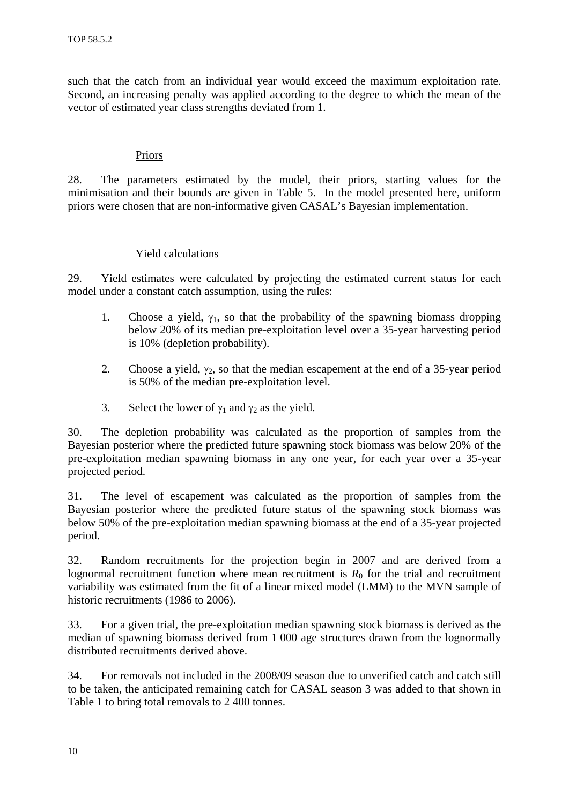<span id="page-11-0"></span>such that the catch from an individual year would exceed the maximum exploitation rate. Second, an increasing penalty was applied according to the degree to which the mean of the vector of estimated year class strengths deviated from 1.

### Priors

28. The parameters estimated by the model, their priors, starting values for the minimisation and their bounds are given in Table 5. In the model presented here, uniform priors were chosen that are non-informative given CASAL's Bayesian implementation.

# Yield calculations

29. Yield estimates were calculated by projecting the estimated current status for each model under a constant catch assumption, using the rules:

- 1. Choose a yield,  $\gamma_1$ , so that the probability of the spawning biomass dropping below 20% of its median pre-exploitation level over a 35-year harvesting period is 10% (depletion probability).
- 2. Choose a yield,  $\gamma_2$ , so that the median escapement at the end of a 35-year period is 50% of the median pre-exploitation level.
- 3. Select the lower of  $\gamma_1$  and  $\gamma_2$  as the yield.

30. The depletion probability was calculated as the proportion of samples from the Bayesian posterior where the predicted future spawning stock biomass was below 20% of the pre-exploitation median spawning biomass in any one year, for each year over a 35-year projected period.

31. The level of escapement was calculated as the proportion of samples from the Bayesian posterior where the predicted future status of the spawning stock biomass was below 50% of the pre-exploitation median spawning biomass at the end of a 35-year projected period.

32. Random recruitments for the projection begin in 2007 and are derived from a lognormal recruitment function where mean recruitment is  $R_0$  for the trial and recruitment variability was estimated from the fit of a linear mixed model (LMM) to the MVN sample of historic recruitments (1986 to 2006).

33. For a given trial, the pre-exploitation median spawning stock biomass is derived as the median of spawning biomass derived from 1 000 age structures drawn from the lognormally distributed recruitments derived above.

34. For removals not included in the 2008/09 season due to unverified catch and catch still to be taken, the anticipated remaining catch for CASAL season 3 was added to that shown in Table 1 to bring total removals to 2 400 tonnes.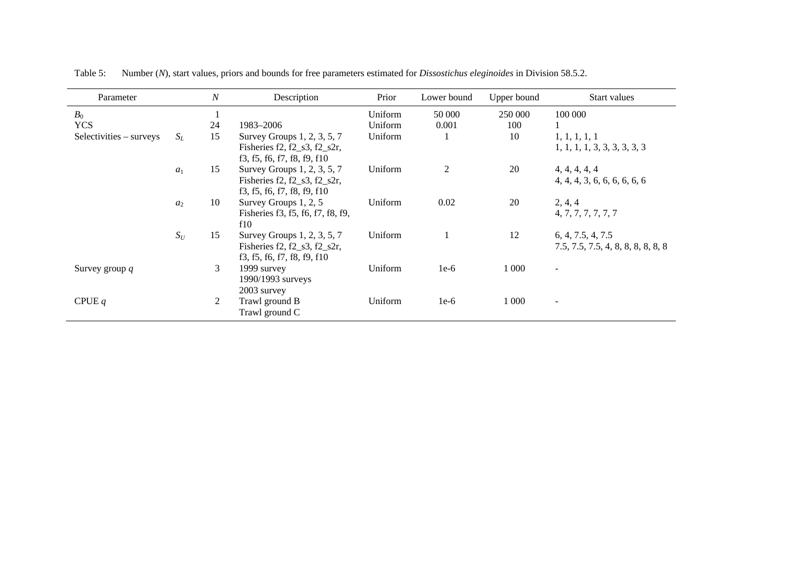| Parameter               |       | $\boldsymbol{N}$ | Description                                                                                      | Prior   | Lower bound | Upper bound | Start values                                            |
|-------------------------|-------|------------------|--------------------------------------------------------------------------------------------------|---------|-------------|-------------|---------------------------------------------------------|
| $B_0$                   |       | $\mathbf{1}$     |                                                                                                  | Uniform | 50 000      | 250 000     | 100 000                                                 |
| <b>YCS</b>              |       | 24               | 1983-2006                                                                                        | Uniform | 0.001       | 100         |                                                         |
| Selectivities – surveys | $S_L$ | 15               | Survey Groups 1, 2, 3, 5, 7<br>Fisheries $f2, f2$ _s3, $f2$ _s2r,<br>f3, f5, f6, f7, f8, f9, f10 | Uniform |             | 10          | 1, 1, 1, 1, 1<br>1, 1, 1, 1, 3, 3, 3, 3, 3, 3           |
|                         | $a_1$ | 15               | Survey Groups 1, 2, 3, 5, 7<br>Fisheries f2, f2_s3, f2_s2r,<br>f3, f5, f6, f7, f8, f9, f10       | Uniform | 2           | 20          | 4, 4, 4, 4, 4<br>4, 4, 4, 3, 6, 6, 6, 6, 6, 6           |
|                         | $a_2$ | 10               | Survey Groups 1, 2, 5<br>Fisheries f3, f5, f6, f7, f8, f9,<br>f10                                | Uniform | 0.02        | 20          | 2, 4, 4<br>4, 7, 7, 7, 7, 7, 7                          |
|                         | $S_U$ | 15               | Survey Groups 1, 2, 3, 5, 7<br>Fisheries $f2, f2_s3, f2_s2r$ ,<br>f3, f5, f6, f7, f8, f9, f10    | Uniform |             | 12          | 6, 4, 7.5, 4, 7.5<br>7.5, 7.5, 7.5, 4, 8, 8, 8, 8, 8, 8 |
| Survey group $q$        |       | 3                | 1999 survey<br>1990/1993 surveys<br>2003 survey                                                  | Uniform | $1e-6$      | 1 0 0 0     | $\overline{\phantom{a}}$                                |
| CPUE $q$                |       | 2                | Trawl ground B<br>Trawl ground C                                                                 | Uniform | $1e-6$      | 1 0 0 0     | $\overline{\phantom{a}}$                                |

Table 5: Number (*N*), start values, priors and bounds for free parameters estimated for *Dissostichus eleginoides* in Division 58.5.2.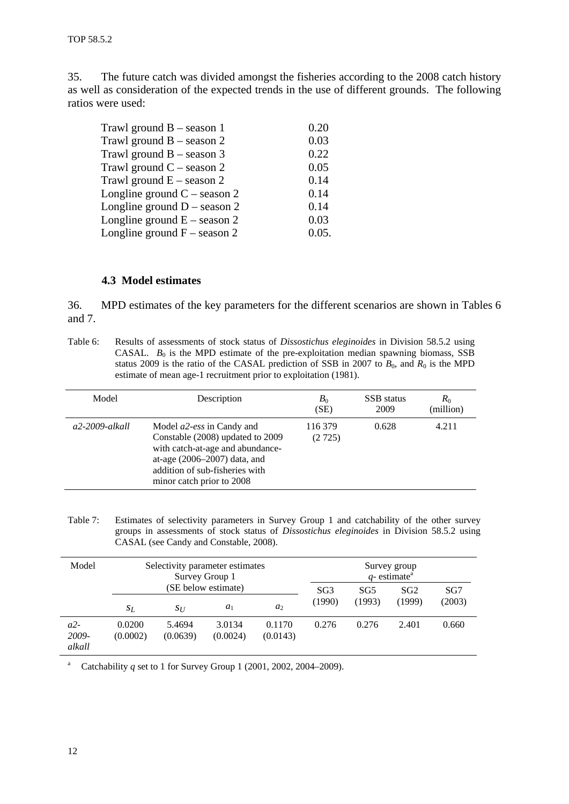<span id="page-13-0"></span>35. The future catch was divided amongst the fisheries according to the 2008 catch history as well as consideration of the expected trends in the use of different grounds. The following ratios were used:

| 0.20  |
|-------|
| 0.03  |
| 0.22  |
| 0.05  |
| 0.14  |
| 0.14  |
| 0.14  |
| 0.03  |
| 0.05. |
|       |

#### **4.3 Model estimates**

36. MPD estimates of the key parameters for the different scenarios are shown in Tables 6 and 7.

Table 6: Results of assessments of stock status of *Dissostichus eleginoides* in Division 58.5.2 using CASAL.  $B_0$  is the MPD estimate of the pre-exploitation median spawning biomass, SSB status 2009 is the ratio of the CASAL prediction of SSB in 2007 to  $B_0$ , and  $R_0$  is the MPD estimate of mean age-1 recruitment prior to exploitation (1981).

| Model          | Description                                                                                                                                                                                                 | $B_0$<br>(SE)     | <b>SSB</b> status<br>2009 | $R_0$<br>(million) |
|----------------|-------------------------------------------------------------------------------------------------------------------------------------------------------------------------------------------------------------|-------------------|---------------------------|--------------------|
| a2-2009-alkall | Model <i>a2-ess</i> in Candy and<br>Constable (2008) updated to 2009<br>with catch-at-age and abundance-<br>at-age $(2006 - 2007)$ data, and<br>addition of sub-fisheries with<br>minor catch prior to 2008 | 116.379<br>(2725) | 0.628                     | 4.211              |

Table 7: Estimates of selectivity parameters in Survey Group 1 and catchability of the other survey groups in assessments of stock status of *Dissostichus eleginoides* in Division 58.5.2 using CASAL (see Candy and Constable, 2008).

| Model                    | Selectivity parameter estimates<br>Survey Group 1 |                    |                     |                    |                 |                 | Survey group<br>$q$ - estimate <sup>a</sup> |                 |
|--------------------------|---------------------------------------------------|--------------------|---------------------|--------------------|-----------------|-----------------|---------------------------------------------|-----------------|
|                          |                                                   |                    | (SE below estimate) |                    | SG <sub>3</sub> | SG <sub>5</sub> | SG <sub>2</sub>                             | SG <sub>7</sub> |
|                          | $S_L$                                             | $S_{II}$           | $a_1$               | $a_2$              | (1990)          | (1993)          | (1999)                                      | (2003)          |
| $a2-$<br>2009-<br>alkall | 0.0200<br>(0.0002)                                | 5.4694<br>(0.0639) | 3.0134<br>(0.0024)  | 0.1170<br>(0.0143) | 0.276           | 0.276           | 2.401                                       | 0.660           |

<sup>a</sup> Catchability *q* set to 1 for Survey Group 1 (2001, 2002, 2004–2009).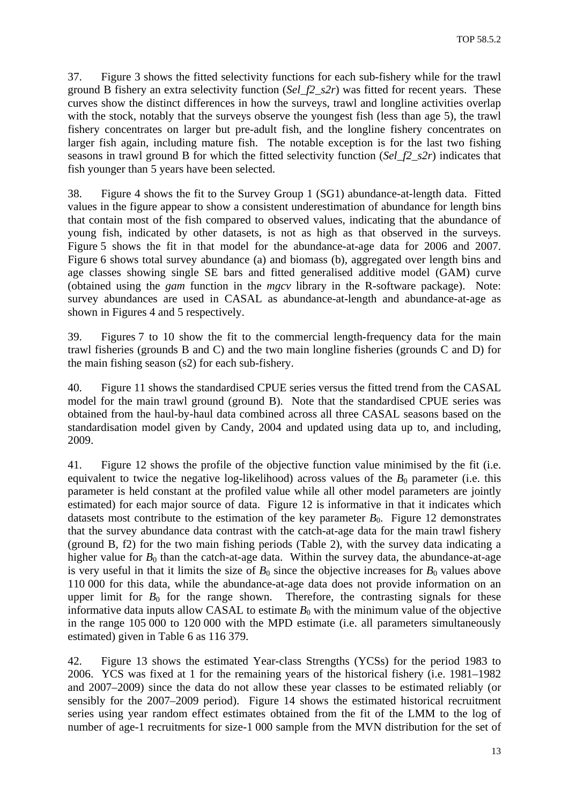37. Figure 3 shows the fitted selectivity functions for each sub-fishery while for the trawl ground B fishery an extra selectivity function (*Sel\_f2\_s2r*) was fitted for recent years. These curves show the distinct differences in how the surveys, trawl and longline activities overlap with the stock, notably that the surveys observe the youngest fish (less than age 5), the trawl fishery concentrates on larger but pre-adult fish, and the longline fishery concentrates on larger fish again, including mature fish. The notable exception is for the last two fishing seasons in trawl ground B for which the fitted selectivity function (*Sel\_f2\_s2r*) indicates that fish younger than 5 years have been selected.

38. Figure 4 shows the fit to the Survey Group 1 (SG1) abundance-at-length data. Fitted values in the figure appear to show a consistent underestimation of abundance for length bins that contain most of the fish compared to observed values, indicating that the abundance of young fish, indicated by other datasets, is not as high as that observed in the surveys. Figure 5 shows the fit in that model for the abundance-at-age data for 2006 and 2007. Figure 6 shows total survey abundance (a) and biomass (b), aggregated over length bins and age classes showing single SE bars and fitted generalised additive model (GAM) curve (obtained using the *gam* function in the *mgcv* library in the R-software package). Note: survey abundances are used in CASAL as abundance-at-length and abundance-at-age as shown in Figures 4 and 5 respectively.

39. Figures 7 to 10 show the fit to the commercial length-frequency data for the main trawl fisheries (grounds B and C) and the two main longline fisheries (grounds C and D) for the main fishing season (s2) for each sub-fishery.

40. Figure 11 shows the standardised CPUE series versus the fitted trend from the CASAL model for the main trawl ground (ground B). Note that the standardised CPUE series was obtained from the haul-by-haul data combined across all three CASAL seasons based on the standardisation model given by Candy, 2004 and updated using data up to, and including, 2009.

41. Figure 12 shows the profile of the objective function value minimised by the fit (i.e. equivalent to twice the negative log-likelihood) across values of the  $B_0$  parameter (i.e. this parameter is held constant at the profiled value while all other model parameters are jointly estimated) for each major source of data. Figure 12 is informative in that it indicates which datasets most contribute to the estimation of the key parameter  $B_0$ . Figure 12 demonstrates that the survey abundance data contrast with the catch-at-age data for the main trawl fishery (ground B, f2) for the two main fishing periods (Table 2), with the survey data indicating a higher value for  $B_0$  than the catch-at-age data. Within the survey data, the abundance-at-age is very useful in that it limits the size of  $B_0$  since the objective increases for  $B_0$  values above 110 000 for this data, while the abundance-at-age data does not provide information on an upper limit for  $B_0$  for the range shown. Therefore, the contrasting signals for these informative data inputs allow CASAL to estimate  $B_0$  with the minimum value of the objective in the range 105 000 to 120 000 with the MPD estimate (i.e. all parameters simultaneously estimated) given in Table 6 as 116 379.

42. Figure 13 shows the estimated Year-class Strengths (YCSs) for the period 1983 to 2006. YCS was fixed at 1 for the remaining years of the historical fishery (i.e. 1981–1982 and 2007–2009) since the data do not allow these year classes to be estimated reliably (or sensibly for the 2007–2009 period). Figure 14 shows the estimated historical recruitment series using year random effect estimates obtained from the fit of the LMM to the log of number of age-1 recruitments for size-1 000 sample from the MVN distribution for the set of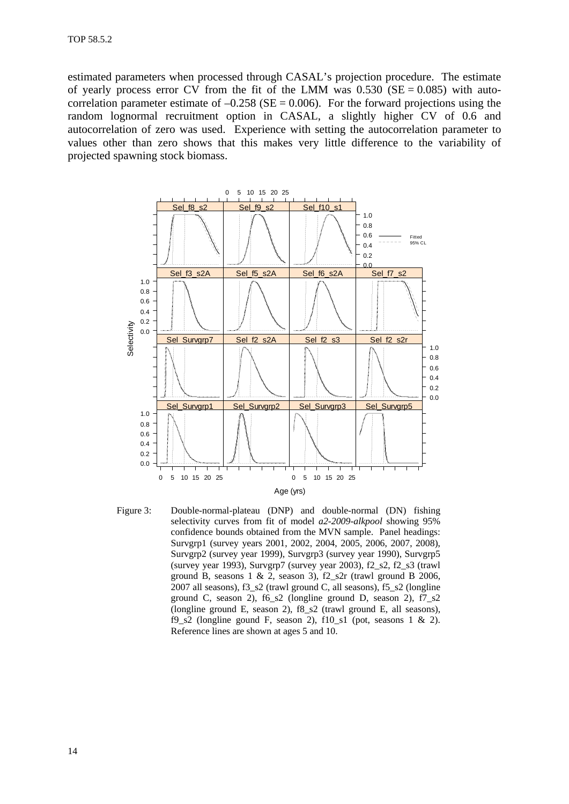estimated parameters when processed through CASAL's projection procedure. The estimate of yearly process error CV from the fit of the LMM was  $0.530$  (SE = 0.085) with autocorrelation parameter estimate of  $-0.258$  (SE = 0.006). For the forward projections using the random lognormal recruitment option in CASAL, a slightly higher CV of 0.6 and autocorrelation of zero was used. Experience with setting the autocorrelation parameter to values other than zero shows that this makes very little difference to the variability of projected spawning stock biomass.



Figure 3: Double-normal-plateau (DNP) and double-normal (DN) fishing selectivity curves from fit of model *a2-2009-alkpool* showing 95% confidence bounds obtained from the MVN sample. Panel headings: Survgrp1 (survey years 2001, 2002, 2004, 2005, 2006, 2007, 2008), Survgrp2 (survey year 1999), Survgrp3 (survey year 1990), Survgrp5 (survey year 1993), Survgrp7 (survey year 2003), f2\_s2, f2\_s3 (trawl ground B, seasons 1 & 2, season 3), f2 s2r (trawl ground B 2006, 2007 all seasons), f3\_s2 (trawl ground C, all seasons), f5\_s2 (longline ground C, season 2), f6\_s2 (longline ground D, season 2), f7\_s2 (longline ground E, season 2), f8\_s2 (trawl ground E, all seasons), f9\_s2 (longline gound F, season 2),  $f10$ \_s1 (pot, seasons 1 & 2). Reference lines are shown at ages 5 and 10.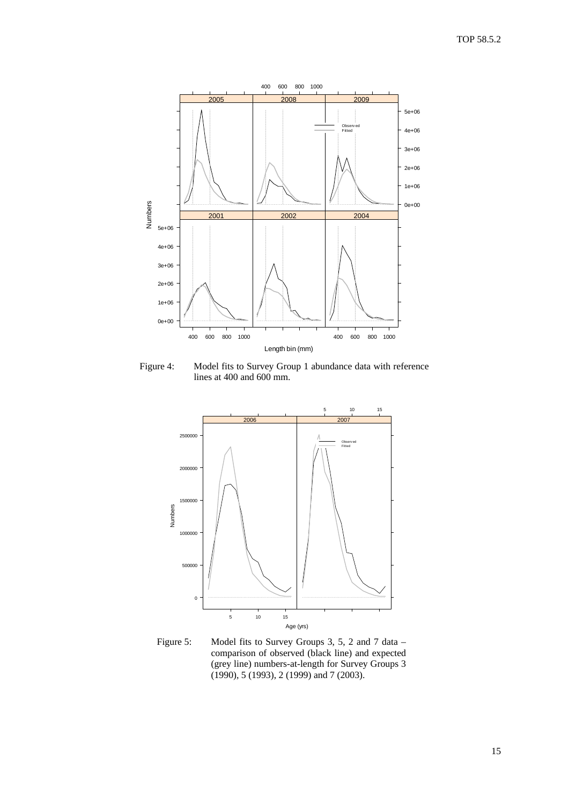

Figure 4: Model fits to Survey Group 1 abundance data with reference lines at 400 and 600 mm.



Figure 5: Model fits to Survey Groups 3, 5, 2 and 7 data – comparison of observed (black line) and expected (grey line) numbers-at-length for Survey Groups 3 (1990), 5 (1993), 2 (1999) and 7 (2003).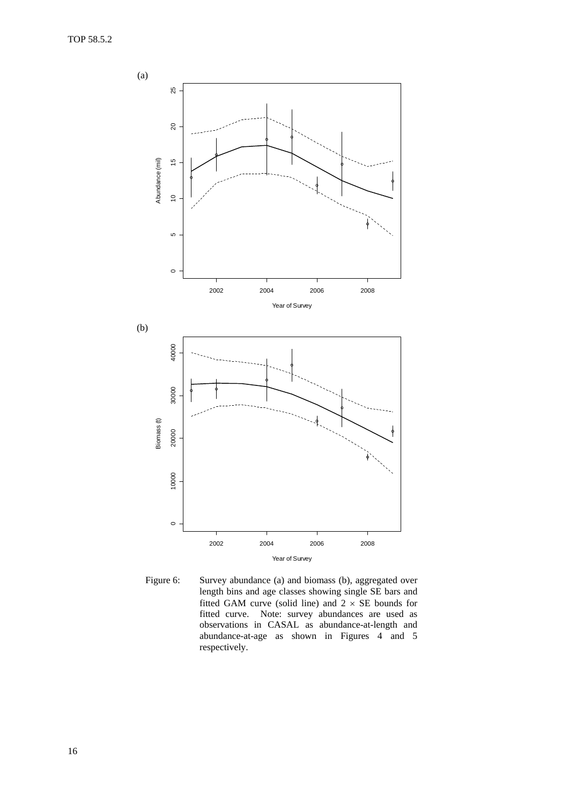

Figure 6: Survey abundance (a) and biomass (b), aggregated over length bins and age classes showing single SE bars and fitted GAM curve (solid line) and  $2 \times SE$  bounds for fitted curve. Note: survey abundances are used as observations in CASAL as abundance-at-length and abundance-at-age as shown in Figures 4 and 5 respectively.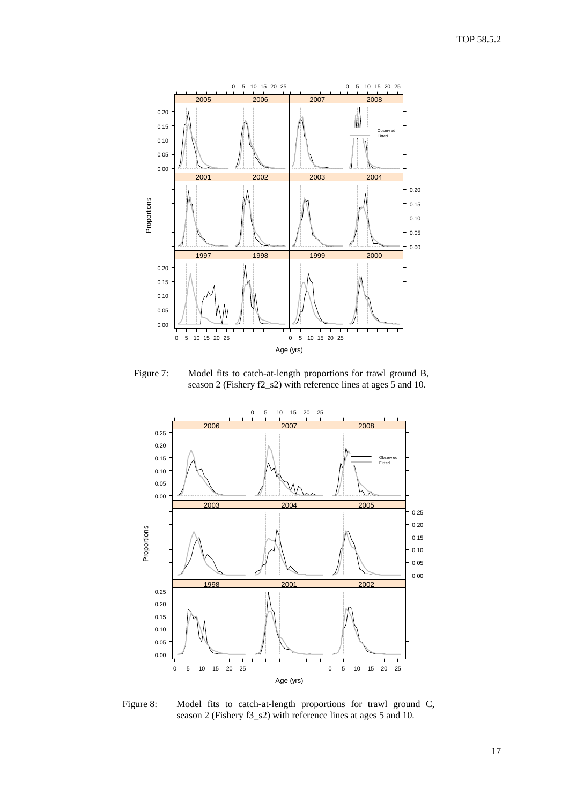

Figure 7: Model fits to catch-at-length proportions for trawl ground B, season 2 (Fishery f2\_s2) with reference lines at ages 5 and 10.



Figure 8: Model fits to catch-at-length proportions for trawl ground C, season 2 (Fishery f3\_s2) with reference lines at ages 5 and 10.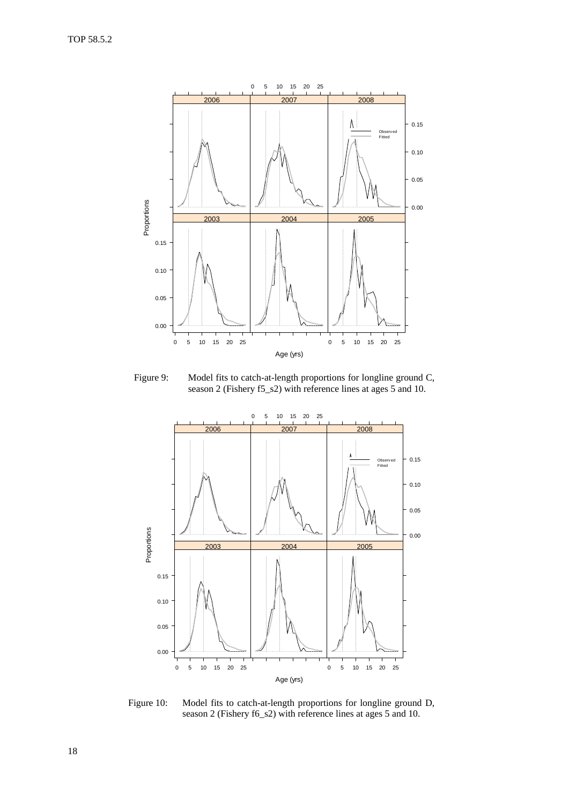

Figure 9: Model fits to catch-at-length proportions for longline ground C, season 2 (Fishery f5\_s2) with reference lines at ages 5 and 10.



Figure 10: Model fits to catch-at-length proportions for longline ground D, season 2 (Fishery f6\_s2) with reference lines at ages 5 and 10.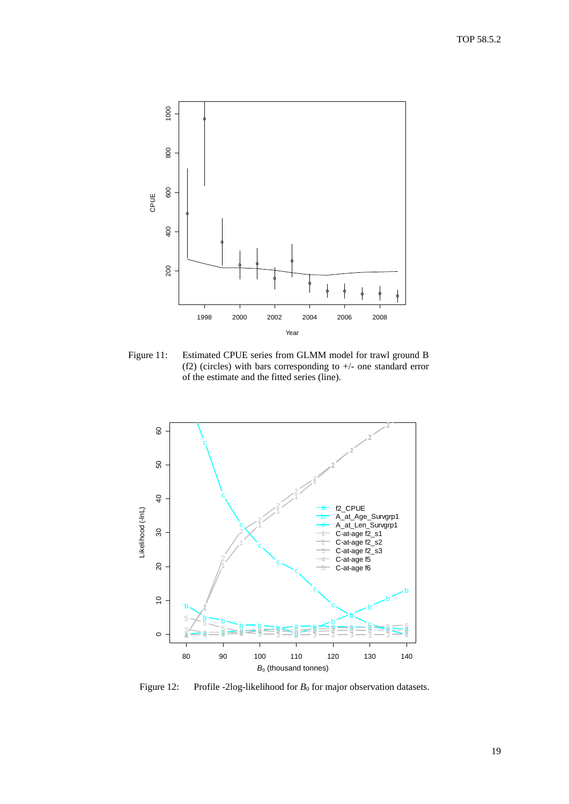

Figure 11: Estimated CPUE series from GLMM model for trawl ground B (f2) (circles) with bars corresponding to +/- one standard error of the estimate and the fitted series (line).



Figure 12: Profile -2log-likelihood for *B*<sub>0</sub> for major observation datasets.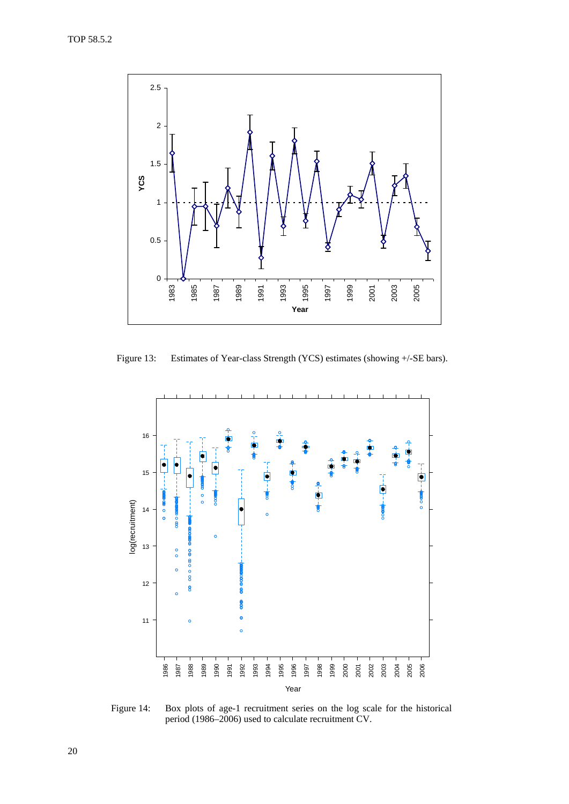

Figure 13: Estimates of Year-class Strength (YCS) estimates (showing +/-SE bars).



Figure 14: Box plots of age-1 recruitment series on the log scale for the historical period (1986–2006) used to calculate recruitment CV.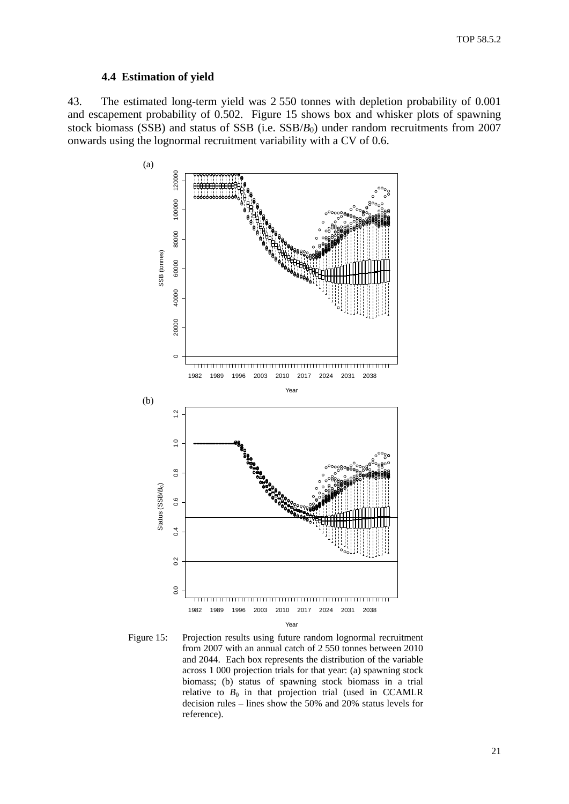#### **4.4 Estimation of yield**

<span id="page-22-0"></span>43. The estimated long-term yield was 2 550 tonnes with depletion probability of 0.001 and escapement probability of 0.502. Figure 15 shows box and whisker plots of spawning stock biomass (SSB) and status of SSB (i.e. SSB/*B*<sub>0</sub>) under random recruitments from 2007 onwards using the lognormal recruitment variability with a CV of 0.6.



Figure 15: Projection results using future random lognormal recruitment from 2007 with an annual catch of 2 550 tonnes between 2010 and 2044. Each box represents the distribution of the variable across 1 000 projection trials for that year: (a) spawning stock biomass; (b) status of spawning stock biomass in a trial relative to  $B_0$  in that projection trial (used in CCAMLR decision rules – lines show the 50% and 20% status levels for reference).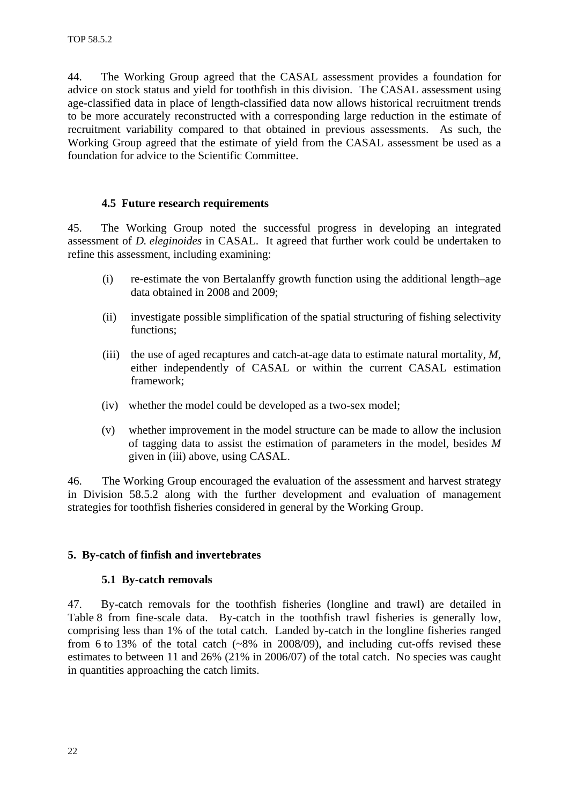<span id="page-23-0"></span>44. The Working Group agreed that the CASAL assessment provides a foundation for advice on stock status and yield for toothfish in this division. The CASAL assessment using age-classified data in place of length-classified data now allows historical recruitment trends to be more accurately reconstructed with a corresponding large reduction in the estimate of recruitment variability compared to that obtained in previous assessments. As such, the Working Group agreed that the estimate of yield from the CASAL assessment be used as a foundation for advice to the Scientific Committee.

### **4.5 Future research requirements**

45. The Working Group noted the successful progress in developing an integrated assessment of *D. eleginoides* in CASAL. It agreed that further work could be undertaken to refine this assessment, including examining:

- (i) re-estimate the von Bertalanffy growth function using the additional length–age data obtained in 2008 and 2009;
- (ii) investigate possible simplification of the spatial structuring of fishing selectivity functions;
- (iii) the use of aged recaptures and catch-at-age data to estimate natural mortality, *M*, either independently of CASAL or within the current CASAL estimation framework;
- (iv) whether the model could be developed as a two-sex model;
- (v) whether improvement in the model structure can be made to allow the inclusion of tagging data to assist the estimation of parameters in the model, besides *M* given in (iii) above, using CASAL.

46. The Working Group encouraged the evaluation of the assessment and harvest strategy in Division 58.5.2 along with the further development and evaluation of management strategies for toothfish fisheries considered in general by the Working Group.

### **5. By-catch of finfish and invertebrates**

#### **5.1 By-catch removals**

47. By-catch removals for the toothfish fisheries (longline and trawl) are detailed in Table 8 from fine-scale data. By-catch in the toothfish trawl fisheries is generally low, comprising less than 1% of the total catch. Landed by-catch in the longline fisheries ranged from 6 to 13% of the total catch  $(-8\%$  in 2008/09), and including cut-offs revised these estimates to between 11 and 26% (21% in 2006/07) of the total catch. No species was caught in quantities approaching the catch limits.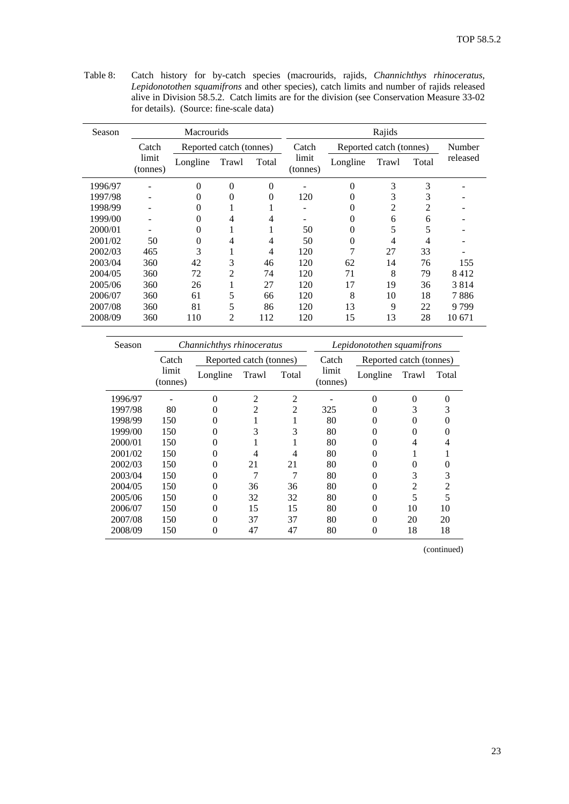Table 8: Catch history for by-catch species (macrourids, rajids, *Channichthys rhinoceratus, Lepidonotothen squamifrons* and other species), catch limits and number of rajids released alive in Division 58.5.2. Catch limits are for the division (see Conservation Measure 33-02 for details). (Source: fine-scale data)

| Season  |                   | <b>Macrourids</b> |                         |                |                   |          | Rajids                  |                |          |
|---------|-------------------|-------------------|-------------------------|----------------|-------------------|----------|-------------------------|----------------|----------|
|         | Catch             |                   | Reported catch (tonnes) |                | Catch             |          | Reported catch (tonnes) |                | Number   |
|         | limit<br>(tonnes) | Longline          | Trawl                   | Total          | limit<br>(tonnes) | Longline | Trawl                   | Total          | released |
| 1996/97 | -                 | $\Omega$          | $\theta$                | $\Omega$       |                   | $\theta$ | 3                       | 3              |          |
| 1997/98 |                   | $\Omega$          | $\Omega$                | $\Omega$       | 120               | $\theta$ | 3                       | 3              |          |
| 1998/99 |                   | $\Omega$          |                         |                |                   | $\Omega$ | $\overline{2}$          | $\overline{2}$ |          |
| 1999/00 |                   | 0                 | 4                       | 4              |                   | $\Omega$ | 6                       | 6              |          |
| 2000/01 |                   | $\Omega$          | 1                       |                | 50                | $\theta$ | 5                       | 5              |          |
| 2001/02 | 50                | $\Omega$          | 4                       | $\overline{4}$ | 50                | $\Omega$ | 4                       | $\overline{4}$ |          |
| 2002/03 | 465               | 3                 | 1                       | 4              | 120               | 7        | 27                      | 33             |          |
| 2003/04 | 360               | 42                | 3                       | 46             | 120               | 62       | 14                      | 76             | 155      |
| 2004/05 | 360               | 72                | $\overline{2}$          | 74             | 120               | 71       | 8                       | 79             | 8412     |
| 2005/06 | 360               | 26                | 1                       | 27             | 120               | 17       | 19                      | 36             | 3814     |
| 2006/07 | 360               | 61                | 5                       | 66             | 120               | 8        | 10                      | 18             | 7886     |
| 2007/08 | 360               | 81                | 5                       | 86             | 120               | 13       | 9                       | 22             | 9 799    |
| 2008/09 | 360               | 110               | $\overline{2}$          | 112            | 120               | 15       | 13                      | 28             | 10 671   |

| Season  |                   | Channichthys rhinoceratus |                          |                          |                   | Lepidonotothen squamifrons |       |       |
|---------|-------------------|---------------------------|--------------------------|--------------------------|-------------------|----------------------------|-------|-------|
|         | Catch             |                           | Reported catch (tonnes)  |                          | Catch             | Reported catch (tonnes)    |       |       |
|         | limit<br>(tonnes) | Longline                  | Trawl                    | Total                    | limit<br>(tonnes) | Longline                   | Trawl | Total |
| 1996/97 |                   |                           | 2                        | $\overline{\mathcal{L}}$ |                   |                            | 0     |       |
| 1997/98 | 80                |                           | $\overline{\mathcal{L}}$ | 2                        | 325               | 0                          | 3     |       |
| 1998/99 | 150               |                           |                          |                          | 80                | 0                          | 0     |       |
| 1999/00 | 150               | $\mathbf{0}$              | 3                        | 3                        | 80                | $\theta$                   | 0     |       |
| 2000/01 | 150               | $\theta$                  |                          |                          | 80                | $\theta$                   | 4     |       |
| 2001/02 | 150               | $\theta$                  | 4                        | 4                        | 80                | $\Omega$                   |       |       |
| 2002/03 | 150               |                           | 21                       | 21                       | 80                | $\Omega$                   | 0     |       |
| 2003/04 | 150               | $\mathbf{\Omega}$         |                          |                          | 80                |                            | 3     | 3     |
| 2004/05 | 150               | $\mathbf{\Omega}$         | 36                       | 36                       | 80                |                            | 2     |       |
| 2005/06 | 150               | $\mathbf{\Omega}$         | 32                       | 32                       | 80                |                            | 5     |       |
| 2006/07 | 150               | $\Omega$                  | 15                       | 15                       | 80                |                            | 10    | 10    |
| 2007/08 | 150               | 0                         | 37                       | 37                       | 80                | 0                          | 20    | 20    |
| 2008/09 | 150               | $\theta$                  | 47                       | 47                       | 80                | 0                          | 18    | 18    |

(continued)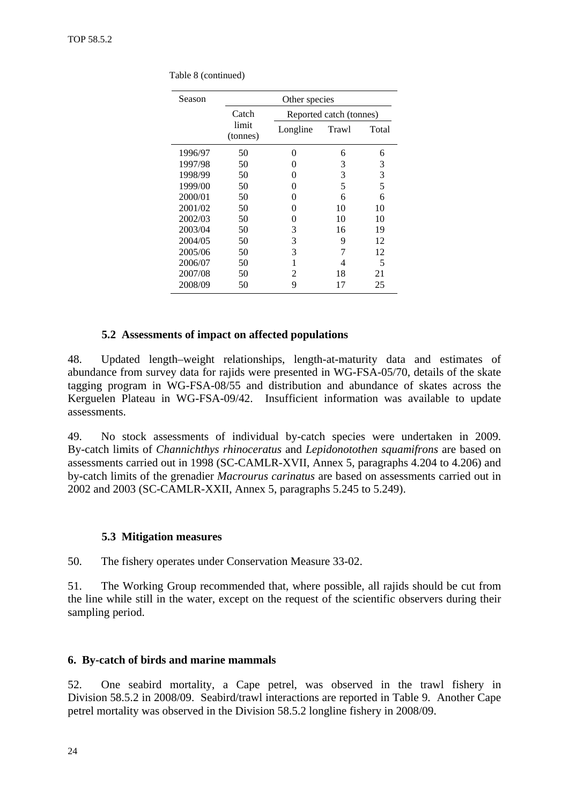| Season  | Other species     |                   |                         |       |  |  |
|---------|-------------------|-------------------|-------------------------|-------|--|--|
|         | Catch             |                   | Reported catch (tonnes) |       |  |  |
|         | limit<br>(tonnes) | Longline          | Trawl                   | Total |  |  |
| 1996/97 | 50                | $_{0}$            | 6                       | 6     |  |  |
| 1997/98 | 50                | $\mathbf{\Omega}$ | 3                       | 3     |  |  |
| 1998/99 | 50                | 0                 | 3                       | 3     |  |  |
| 1999/00 | 50                | 0                 | 5                       | 5     |  |  |
| 2000/01 | 50                | 0                 | 6                       | 6     |  |  |
| 2001/02 | 50                | $\mathbf{\Omega}$ | 10                      | 10    |  |  |
| 2002/03 | 50                | 0                 | 10                      | 10    |  |  |
| 2003/04 | 50                | 3                 | 16                      | 19    |  |  |
| 2004/05 | 50                | 3                 | 9                       | 12    |  |  |
| 2005/06 | 50                | 3                 |                         | 12    |  |  |
| 2006/07 | 50                | 1                 | 4                       | 5     |  |  |
| 2007/08 | 50                | 2                 | 18                      | 21    |  |  |
| 2008/09 | 50                | 9                 | 17                      | 25    |  |  |

<span id="page-25-0"></span>Table 8 (continued)

#### **5.2 Assessments of impact on affected populations**

48. Updated length–weight relationships, length-at-maturity data and estimates of abundance from survey data for rajids were presented in WG-FSA-05/70, details of the skate tagging program in WG-FSA-08/55 and distribution and abundance of skates across the Kerguelen Plateau in WG-FSA-09/42. Insufficient information was available to update assessments.

49. No stock assessments of individual by-catch species were undertaken in 2009. By-catch limits of *Channichthys rhinoceratus* and *Lepidonotothen squamifrons* are based on assessments carried out in 1998 (SC-CAMLR-XVII, Annex 5, paragraphs 4.204 to 4.206) and by-catch limits of the grenadier *Macrourus carinatus* are based on assessments carried out in 2002 and 2003 (SC-CAMLR-XXII, Annex 5, paragraphs 5.245 to 5.249).

#### **5.3 Mitigation measures**

50. The fishery operates under Conservation Measure 33-02.

51. The Working Group recommended that, where possible, all rajids should be cut from the line while still in the water, except on the request of the scientific observers during their sampling period.

#### **6. By-catch of birds and marine mammals**

52. One seabird mortality, a Cape petrel, was observed in the trawl fishery in Division 58.5.2 in 2008/09. Seabird/trawl interactions are reported in Table 9. Another Cape petrel mortality was observed in the Division 58.5.2 longline fishery in 2008/09.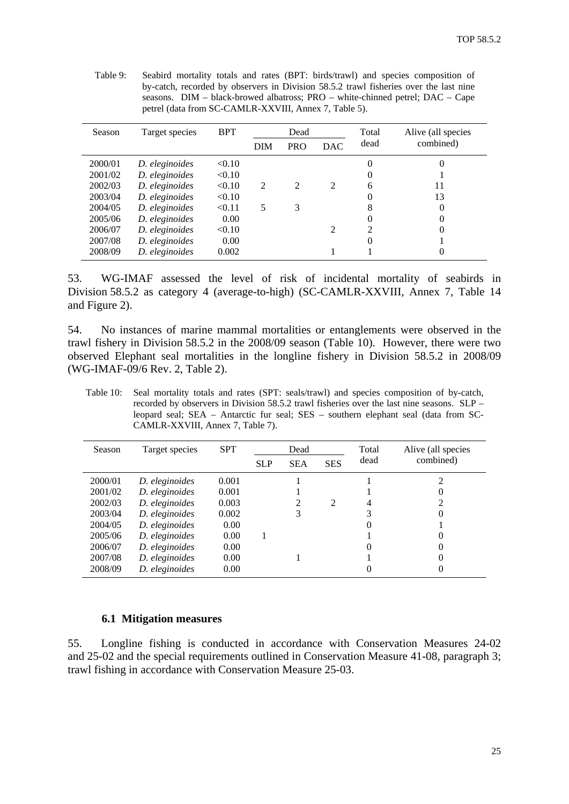| Season  | Target species | <b>BPT</b> | Dead           |                | Total          | Alive (all species |           |
|---------|----------------|------------|----------------|----------------|----------------|--------------------|-----------|
|         |                |            | <b>DIM</b>     | <b>PRO</b>     | <b>DAC</b>     | dead               | combined) |
| 2000/01 | D. eleginoides | < 0.10     |                |                |                |                    | 0         |
| 2001/02 | D. eleginoides | < 0.10     |                |                |                |                    |           |
| 2002/03 | D. eleginoides | < 0.10     | $\mathfrak{D}$ | $\mathfrak{D}$ | 2              | 6                  | 11        |
| 2003/04 | D. eleginoides | < 0.10     |                |                |                |                    | 13        |
| 2004/05 | D. eleginoides | < 0.11     | 5              | 3              |                |                    | $\theta$  |
| 2005/06 | D. eleginoides | 0.00       |                |                |                |                    |           |
| 2006/07 | D. eleginoides | < 0.10     |                |                | $\mathfrak{D}$ | ∍                  | 0         |
| 2007/08 | D. eleginoides | 0.00       |                |                |                | $\theta$           |           |
| 2008/09 | D. eleginoides | 0.002      |                |                |                |                    | $\Omega$  |

<span id="page-26-0"></span>Table 9: Seabird mortality totals and rates (BPT: birds/trawl) and species composition of by-catch, recorded by observers in Division 58.5.2 trawl fisheries over the last nine seasons. DIM – black-browed albatross; PRO – white-chinned petrel; DAC – Cape petrel (data from SC-CAMLR-XXVIII, Annex 7, Table 5).

53. WG-IMAF assessed the level of risk of incidental mortality of seabirds in Division 58.5.2 as category 4 (average-to-high) (SC-CAMLR-XXVIII, Annex 7, Table 14 and Figure 2).

54. No instances of marine mammal mortalities or entanglements were observed in the trawl fishery in Division 58.5.2 in the 2008/09 season (Table 10). However, there were two observed Elephant seal mortalities in the longline fishery in Division 58.5.2 in 2008/09 (WG-IMAF-09/6 Rev. 2, Table 2).

Table 10: Seal mortality totals and rates (SPT: seals/trawl) and species composition of by-catch, recorded by observers in Division 58.5.2 trawl fisheries over the last nine seasons. SLP – leopard seal; SEA – Antarctic fur seal; SES – southern elephant seal (data from SC-CAMLR-XXVIII, Annex 7, Table 7).

| Season  | Target species | <b>SPT</b> |            | Dead          |               | Total | Alive (all species |
|---------|----------------|------------|------------|---------------|---------------|-------|--------------------|
|         |                |            | <b>SLP</b> | <b>SEA</b>    | <b>SES</b>    | dead  | combined)          |
| 2000/01 | D. eleginoides | 0.001      |            |               |               |       |                    |
| 2001/02 | D. eleginoides | 0.001      |            |               |               |       |                    |
| 2002/03 | D. eleginoides | 0.003      |            | $\mathcal{L}$ | $\mathcal{D}$ | 4     |                    |
| 2003/04 | D. eleginoides | 0.002      |            | 3             |               |       |                    |
| 2004/05 | D. eleginoides | 0.00       |            |               |               |       |                    |
| 2005/06 | D. eleginoides | 0.00       |            |               |               |       |                    |
| 2006/07 | D. eleginoides | 0.00       |            |               |               |       |                    |
| 2007/08 | D. eleginoides | 0.00       |            |               |               |       |                    |
| 2008/09 | D. eleginoides | 0.00       |            |               |               |       |                    |

#### **6.1 Mitigation measures**

55. Longline fishing is conducted in accordance with Conservation Measures 24-02 and 25-02 and the special requirements outlined in Conservation Measure 41-08, paragraph 3; trawl fishing in accordance with Conservation Measure 25-03.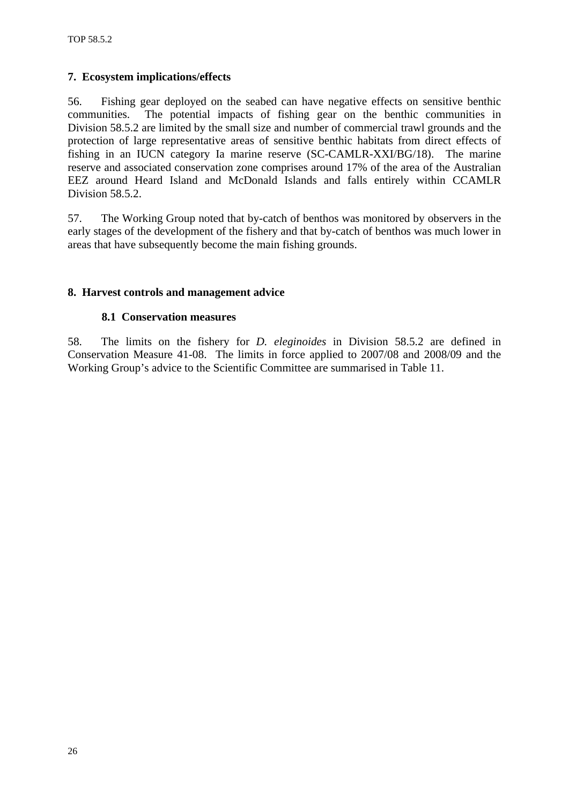# <span id="page-27-0"></span>**7. Ecosystem implications/effects**

56. Fishing gear deployed on the seabed can have negative effects on sensitive benthic communities. The potential impacts of fishing gear on the benthic communities in Division 58.5.2 are limited by the small size and number of commercial trawl grounds and the protection of large representative areas of sensitive benthic habitats from direct effects of fishing in an IUCN category Ia marine reserve (SC-CAMLR-XXI/BG/18). The marine reserve and associated conservation zone comprises around 17% of the area of the Australian EEZ around Heard Island and McDonald Islands and falls entirely within CCAMLR Division 58.5.2.

57. The Working Group noted that by-catch of benthos was monitored by observers in the early stages of the development of the fishery and that by-catch of benthos was much lower in areas that have subsequently become the main fishing grounds.

# **8. Harvest controls and management advice**

### **8.1 Conservation measures**

58. The limits on the fishery for *D. eleginoides* in Division 58.5.2 are defined in Conservation Measure 41-08. The limits in force applied to 2007/08 and 2008/09 and the Working Group's advice to the Scientific Committee are summarised in Table 11.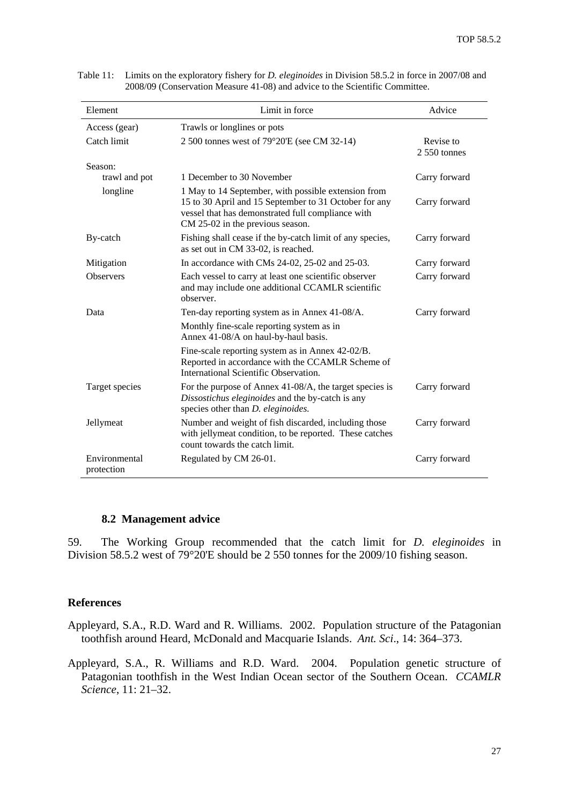| Element                     | Limit in force                                                                                                                                                                                        | Advice                     |
|-----------------------------|-------------------------------------------------------------------------------------------------------------------------------------------------------------------------------------------------------|----------------------------|
| Access (gear)               | Trawls or longlines or pots                                                                                                                                                                           |                            |
| Catch limit                 | 2 500 tonnes west of 79°20'E (see CM 32-14)                                                                                                                                                           | Revise to<br>$2550$ tonnes |
| Season:                     |                                                                                                                                                                                                       |                            |
| trawl and pot               | 1 December to 30 November                                                                                                                                                                             | Carry forward              |
| longline                    | 1 May to 14 September, with possible extension from<br>15 to 30 April and 15 September to 31 October for any<br>vessel that has demonstrated full compliance with<br>CM 25-02 in the previous season. | Carry forward              |
| By-catch                    | Fishing shall cease if the by-catch limit of any species,<br>as set out in CM 33-02, is reached.                                                                                                      | Carry forward              |
| Mitigation                  | In accordance with CMs 24-02, 25-02 and 25-03.                                                                                                                                                        | Carry forward              |
| <b>Observers</b>            | Each vessel to carry at least one scientific observer<br>and may include one additional CCAMLR scientific<br>observer.                                                                                | Carry forward              |
| Data                        | Ten-day reporting system as in Annex 41-08/A.                                                                                                                                                         | Carry forward              |
|                             | Monthly fine-scale reporting system as in<br>Annex 41-08/A on haul-by-haul basis.                                                                                                                     |                            |
|                             | Fine-scale reporting system as in Annex 42-02/B.<br>Reported in accordance with the CCAMLR Scheme of<br>International Scientific Observation.                                                         |                            |
| Target species              | For the purpose of Annex 41-08/A, the target species is<br>Dissostichus eleginoides and the by-catch is any<br>species other than <i>D. eleginoides</i> .                                             | Carry forward              |
| Jellymeat                   | Number and weight of fish discarded, including those<br>with jellymeat condition, to be reported. These catches<br>count towards the catch limit.                                                     | Carry forward              |
| Environmental<br>protection | Regulated by CM 26-01.                                                                                                                                                                                | Carry forward              |

<span id="page-28-0"></span>Table 11: Limits on the exploratory fishery for *D. eleginoides* in Division 58.5.2 in force in 2007/08 and 2008/09 (Conservation Measure 41-08) and advice to the Scientific Committee.

## **8.2 Management advice**

59. The Working Group recommended that the catch limit for *D. eleginoides* in Division 58.5.2 west of 79°20'E should be 2 550 tonnes for the 2009/10 fishing season.

#### **References**

Appleyard, S.A., R.D. Ward and R. Williams. 2002. Population structure of the Patagonian toothfish around Heard, McDonald and Macquarie Islands. *Ant. Sci*., 14: 364–373.

Appleyard, S.A., R. Williams and R.D. Ward. 2004. Population genetic structure of Patagonian toothfish in the West Indian Ocean sector of the Southern Ocean. *CCAMLR Science*, 11: 21–32.